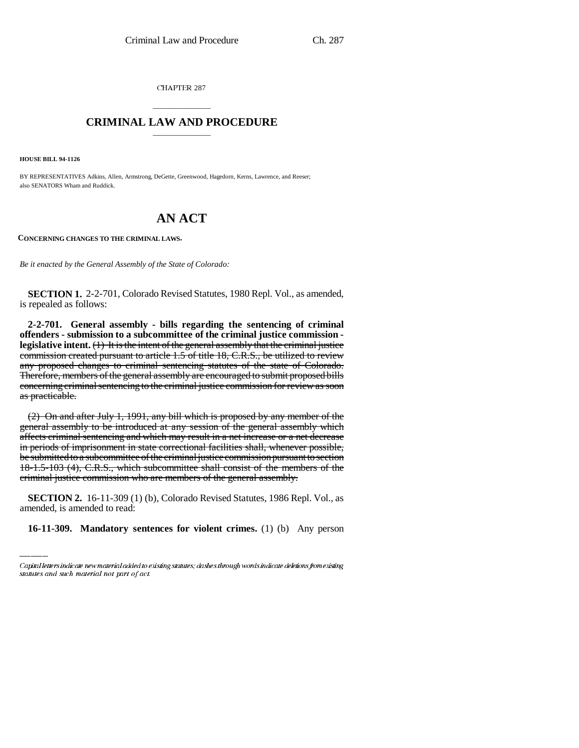CHAPTER 287

## \_\_\_\_\_\_\_\_\_\_\_\_\_\_\_ **CRIMINAL LAW AND PROCEDURE** \_\_\_\_\_\_\_\_\_\_\_\_\_\_\_

**HOUSE BILL 94-1126**

BY REPRESENTATIVES Adkins, Allen, Armstrong, DeGette, Greenwood, Hagedorn, Kerns, Lawrence, and Reeser; also SENATORS Wham and Ruddick.

# **AN ACT**

**CONCERNING CHANGES TO THE CRIMINAL LAWS.**

*Be it enacted by the General Assembly of the State of Colorado:*

**SECTION 1.** 2-2-701, Colorado Revised Statutes, 1980 Repl. Vol., as amended, is repealed as follows:

**2-2-701. General assembly - bills regarding the sentencing of criminal offenders - submission to a subcommittee of the criminal justice commission legislative intent.** (1) It is the intent of the general assembly that the criminal justice commission created pursuant to article 1.5 of title 18, C.R.S., be utilized to review any proposed changes to criminal sentencing statutes of the state of Colorado. Therefore, members of the general assembly are encouraged to submit proposed bills concerning criminal sentencing to the criminal justice commission for review as soon as practicable.

criminal justice commission who are members of the general assembly. (2) On and after July 1, 1991, any bill which is proposed by any member of the general assembly to be introduced at any session of the general assembly which affects criminal sentencing and which may result in a net increase or a net decrease in periods of imprisonment in state correctional facilities shall, whenever possible, be submitted to a subcommittee of the criminal justice commission pursuant to section 18-1.5-103 (4), C.R.S., which subcommittee shall consist of the members of the

**SECTION 2.** 16-11-309 (1) (b), Colorado Revised Statutes, 1986 Repl. Vol., as amended, is amended to read:

**16-11-309. Mandatory sentences for violent crimes.** (1) (b) Any person

Capital letters indicate new material added to existing statutes; dashes through words indicate deletions from existing statutes and such material not part of act.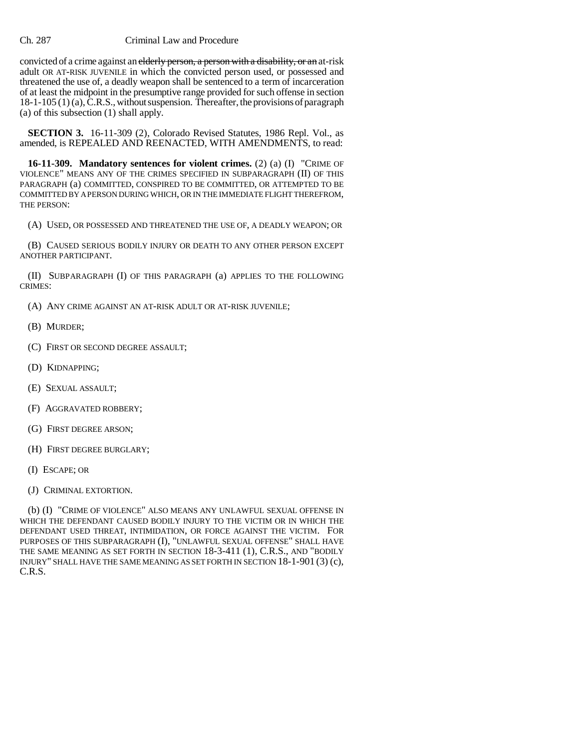#### Ch. 287 Criminal Law and Procedure

convicted of a crime against an elderly person, a person with a disability, or an at-risk adult OR AT-RISK JUVENILE in which the convicted person used, or possessed and threatened the use of, a deadly weapon shall be sentenced to a term of incarceration of at least the midpoint in the presumptive range provided for such offense in section 18-1-105 (1) (a), C.R.S., without suspension. Thereafter, the provisions of paragraph (a) of this subsection (1) shall apply.

**SECTION 3.** 16-11-309 (2), Colorado Revised Statutes, 1986 Repl. Vol., as amended, is REPEALED AND REENACTED, WITH AMENDMENTS, to read:

**16-11-309. Mandatory sentences for violent crimes.** (2) (a) (I) "CRIME OF VIOLENCE" MEANS ANY OF THE CRIMES SPECIFIED IN SUBPARAGRAPH (II) OF THIS PARAGRAPH (a) COMMITTED, CONSPIRED TO BE COMMITTED, OR ATTEMPTED TO BE COMMITTED BY A PERSON DURING WHICH, OR IN THE IMMEDIATE FLIGHT THEREFROM, THE PERSON:

(A) USED, OR POSSESSED AND THREATENED THE USE OF, A DEADLY WEAPON; OR

(B) CAUSED SERIOUS BODILY INJURY OR DEATH TO ANY OTHER PERSON EXCEPT ANOTHER PARTICIPANT.

(II) SUBPARAGRAPH (I) OF THIS PARAGRAPH (a) APPLIES TO THE FOLLOWING CRIMES:

(A) ANY CRIME AGAINST AN AT-RISK ADULT OR AT-RISK JUVENILE;

- (B) MURDER;
- (C) FIRST OR SECOND DEGREE ASSAULT;
- (D) KIDNAPPING;
- (E) SEXUAL ASSAULT;
- (F) AGGRAVATED ROBBERY;
- (G) FIRST DEGREE ARSON;
- (H) FIRST DEGREE BURGLARY;
- (I) ESCAPE; OR
- (J) CRIMINAL EXTORTION.

(b) (I) "CRIME OF VIOLENCE" ALSO MEANS ANY UNLAWFUL SEXUAL OFFENSE IN WHICH THE DEFENDANT CAUSED BODILY INJURY TO THE VICTIM OR IN WHICH THE DEFENDANT USED THREAT, INTIMIDATION, OR FORCE AGAINST THE VICTIM. FOR PURPOSES OF THIS SUBPARAGRAPH (I), "UNLAWFUL SEXUAL OFFENSE" SHALL HAVE THE SAME MEANING AS SET FORTH IN SECTION 18-3-411 (1), C.R.S., AND "BODILY INJURY" SHALL HAVE THE SAME MEANING AS SET FORTH IN SECTION 18-1-901 (3) (c), C.R.S.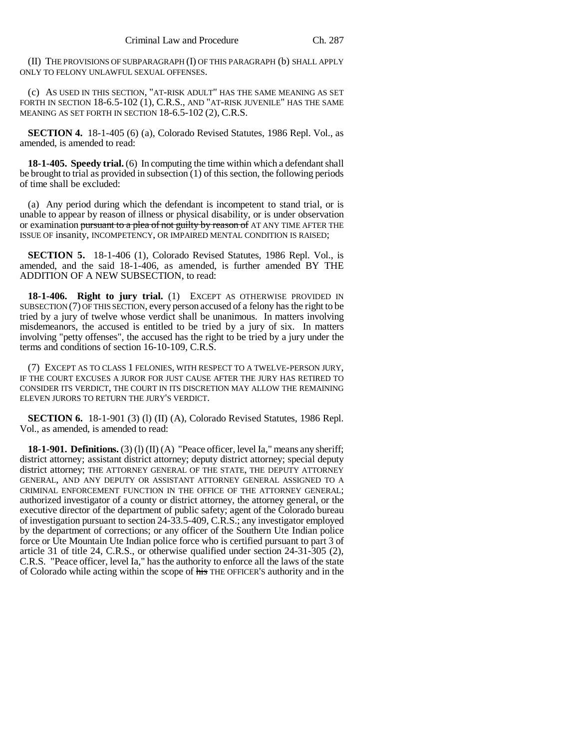(II) THE PROVISIONS OF SUBPARAGRAPH (I) OF THIS PARAGRAPH (b) SHALL APPLY ONLY TO FELONY UNLAWFUL SEXUAL OFFENSES.

(c) AS USED IN THIS SECTION, "AT-RISK ADULT" HAS THE SAME MEANING AS SET FORTH IN SECTION 18-6.5-102 (1), C.R.S., AND "AT-RISK JUVENILE" HAS THE SAME MEANING AS SET FORTH IN SECTION 18-6.5-102 (2), C.R.S.

**SECTION 4.** 18-1-405 (6) (a), Colorado Revised Statutes, 1986 Repl. Vol., as amended, is amended to read:

**18-1-405. Speedy trial.** (6) In computing the time within which a defendant shall be brought to trial as provided in subsection (1) of this section, the following periods of time shall be excluded:

(a) Any period during which the defendant is incompetent to stand trial, or is unable to appear by reason of illness or physical disability, or is under observation or examination pursuant to a plea of not guilty by reason of AT ANY TIME AFTER THE ISSUE OF insanity, INCOMPETENCY, OR IMPAIRED MENTAL CONDITION IS RAISED;

**SECTION 5.** 18-1-406 (1), Colorado Revised Statutes, 1986 Repl. Vol., is amended, and the said 18-1-406, as amended, is further amended BY THE ADDITION OF A NEW SUBSECTION, to read:

**18-1-406. Right to jury trial.** (1) EXCEPT AS OTHERWISE PROVIDED IN SUBSECTION (7) OF THIS SECTION, every person accused of a felony has the right to be tried by a jury of twelve whose verdict shall be unanimous. In matters involving misdemeanors, the accused is entitled to be tried by a jury of six. In matters involving "petty offenses", the accused has the right to be tried by a jury under the terms and conditions of section 16-10-109, C.R.S.

(7) EXCEPT AS TO CLASS 1 FELONIES, WITH RESPECT TO A TWELVE-PERSON JURY, IF THE COURT EXCUSES A JUROR FOR JUST CAUSE AFTER THE JURY HAS RETIRED TO CONSIDER ITS VERDICT, THE COURT IN ITS DISCRETION MAY ALLOW THE REMAINING ELEVEN JURORS TO RETURN THE JURY'S VERDICT.

**SECTION 6.** 18-1-901 (3) (l) (II) (A), Colorado Revised Statutes, 1986 Repl. Vol., as amended, is amended to read:

**18-1-901. Definitions.** (3) (1) (II) (A) "Peace officer, level Ia," means any sheriff; district attorney; assistant district attorney; deputy district attorney; special deputy district attorney; THE ATTORNEY GENERAL OF THE STATE, THE DEPUTY ATTORNEY GENERAL, AND ANY DEPUTY OR ASSISTANT ATTORNEY GENERAL ASSIGNED TO A CRIMINAL ENFORCEMENT FUNCTION IN THE OFFICE OF THE ATTORNEY GENERAL; authorized investigator of a county or district attorney, the attorney general, or the executive director of the department of public safety; agent of the Colorado bureau of investigation pursuant to section 24-33.5-409, C.R.S.; any investigator employed by the department of corrections; or any officer of the Southern Ute Indian police force or Ute Mountain Ute Indian police force who is certified pursuant to part 3 of article 31 of title 24, C.R.S., or otherwise qualified under section 24-31-305 (2), C.R.S. "Peace officer, level Ia," has the authority to enforce all the laws of the state of Colorado while acting within the scope of his THE OFFICER'S authority and in the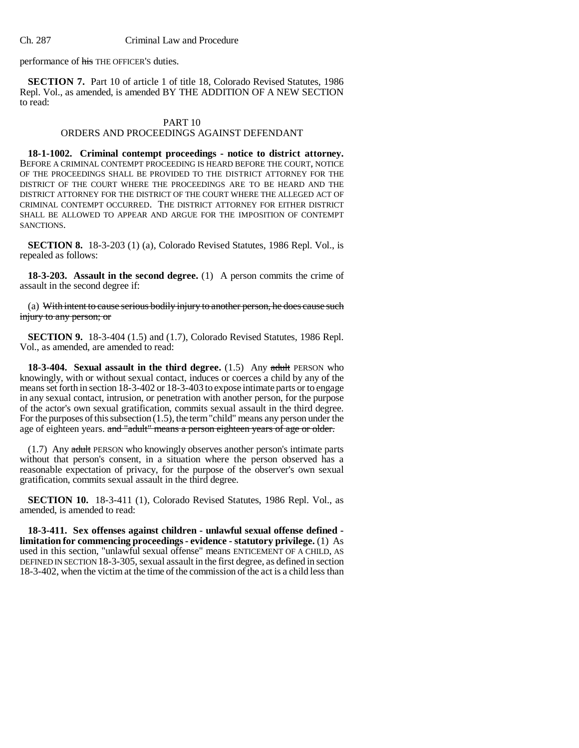performance of his THE OFFICER'S duties.

**SECTION 7.** Part 10 of article 1 of title 18, Colorado Revised Statutes, 1986 Repl. Vol., as amended, is amended BY THE ADDITION OF A NEW SECTION to read:

#### PART 10

### ORDERS AND PROCEEDINGS AGAINST DEFENDANT

**18-1-1002. Criminal contempt proceedings - notice to district attorney.** BEFORE A CRIMINAL CONTEMPT PROCEEDING IS HEARD BEFORE THE COURT, NOTICE OF THE PROCEEDINGS SHALL BE PROVIDED TO THE DISTRICT ATTORNEY FOR THE DISTRICT OF THE COURT WHERE THE PROCEEDINGS ARE TO BE HEARD AND THE DISTRICT ATTORNEY FOR THE DISTRICT OF THE COURT WHERE THE ALLEGED ACT OF CRIMINAL CONTEMPT OCCURRED. THE DISTRICT ATTORNEY FOR EITHER DISTRICT SHALL BE ALLOWED TO APPEAR AND ARGUE FOR THE IMPOSITION OF CONTEMPT SANCTIONS.

**SECTION 8.** 18-3-203 (1) (a), Colorado Revised Statutes, 1986 Repl. Vol., is repealed as follows:

**18-3-203. Assault in the second degree.** (1) A person commits the crime of assault in the second degree if:

(a) With intent to cause serious bodily injury to another person, he does cause such injury to any person; or

**SECTION 9.** 18-3-404 (1.5) and (1.7), Colorado Revised Statutes, 1986 Repl. Vol., as amended, are amended to read:

**18-3-404. Sexual assault in the third degree.** (1.5) Any adult PERSON who knowingly, with or without sexual contact, induces or coerces a child by any of the means set forth in section 18-3-402 or 18-3-403 to expose intimate parts or to engage in any sexual contact, intrusion, or penetration with another person, for the purpose of the actor's own sexual gratification, commits sexual assault in the third degree. For the purposes of this subsection (1.5), the term "child" means any person under the age of eighteen years. and "adult" means a person eighteen years of age or older.

(1.7) Any adult PERSON who knowingly observes another person's intimate parts without that person's consent, in a situation where the person observed has a reasonable expectation of privacy, for the purpose of the observer's own sexual gratification, commits sexual assault in the third degree.

**SECTION 10.** 18-3-411 (1), Colorado Revised Statutes, 1986 Repl. Vol., as amended, is amended to read:

**18-3-411. Sex offenses against children - unlawful sexual offense defined limitation for commencing proceedings - evidence - statutory privilege.** (1) As used in this section, "unlawful sexual offense" means ENTICEMENT OF A CHILD, AS DEFINED IN SECTION 18-3-305, sexual assault in the first degree, as defined in section 18-3-402, when the victim at the time of the commission of the act is a child less than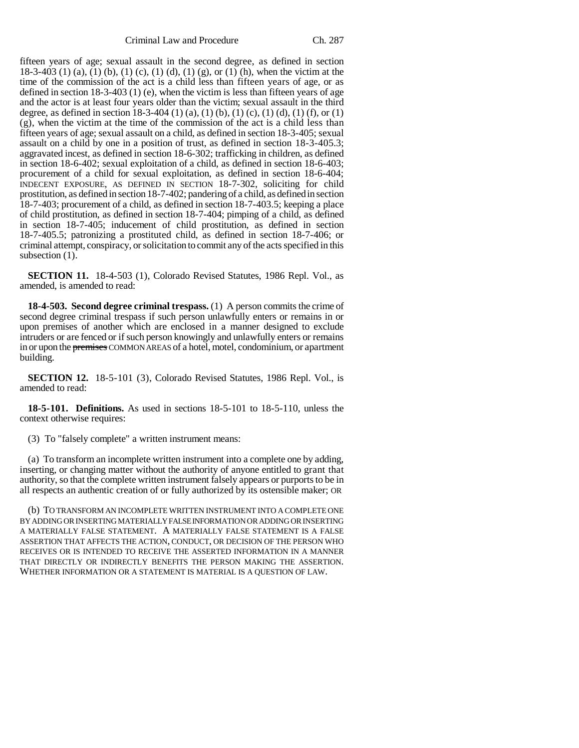fifteen years of age; sexual assault in the second degree, as defined in section 18-3-403 (1) (a), (1) (b), (1) (c), (1) (d), (1) (g), or (1) (h), when the victim at the time of the commission of the act is a child less than fifteen years of age, or as defined in section 18-3-403 (1) (e), when the victim is less than fifteen years of age and the actor is at least four years older than the victim; sexual assault in the third degree, as defined in section 18-3-404 (1) (a), (1) (b), (1) (c), (1) (d), (1) (f), or (1) (g), when the victim at the time of the commission of the act is a child less than fifteen years of age; sexual assault on a child, as defined in section 18-3-405; sexual assault on a child by one in a position of trust, as defined in section 18-3-405.3; aggravated incest, as defined in section 18-6-302; trafficking in children, as defined in section 18-6-402; sexual exploitation of a child, as defined in section 18-6-403; procurement of a child for sexual exploitation, as defined in section 18-6-404; INDECENT EXPOSURE, AS DEFINED IN SECTION 18-7-302, soliciting for child prostitution, as defined in section 18-7-402; pandering of a child, as defined in section 18-7-403; procurement of a child, as defined in section 18-7-403.5; keeping a place of child prostitution, as defined in section 18-7-404; pimping of a child, as defined in section 18-7-405; inducement of child prostitution, as defined in section 18-7-405.5; patronizing a prostituted child, as defined in section 18-7-406; or criminal attempt, conspiracy, or solicitation to commit any of the acts specified in this subsection  $(1)$ .

**SECTION 11.** 18-4-503 (1), Colorado Revised Statutes, 1986 Repl. Vol., as amended, is amended to read:

**18-4-503. Second degree criminal trespass.** (1) A person commits the crime of second degree criminal trespass if such person unlawfully enters or remains in or upon premises of another which are enclosed in a manner designed to exclude intruders or are fenced or if such person knowingly and unlawfully enters or remains in or upon the premises COMMON AREAS of a hotel, motel, condominium, or apartment building.

**SECTION 12.** 18-5-101 (3), Colorado Revised Statutes, 1986 Repl. Vol., is amended to read:

**18-5-101. Definitions.** As used in sections 18-5-101 to 18-5-110, unless the context otherwise requires:

(3) To "falsely complete" a written instrument means:

(a) To transform an incomplete written instrument into a complete one by adding, inserting, or changing matter without the authority of anyone entitled to grant that authority, so that the complete written instrument falsely appears or purports to be in all respects an authentic creation of or fully authorized by its ostensible maker; OR

(b) TO TRANSFORM AN INCOMPLETE WRITTEN INSTRUMENT INTO A COMPLETE ONE BY ADDING OR INSERTING MATERIALLY FALSE INFORMATION OR ADDING OR INSERTING A MATERIALLY FALSE STATEMENT. A MATERIALLY FALSE STATEMENT IS A FALSE ASSERTION THAT AFFECTS THE ACTION, CONDUCT, OR DECISION OF THE PERSON WHO RECEIVES OR IS INTENDED TO RECEIVE THE ASSERTED INFORMATION IN A MANNER THAT DIRECTLY OR INDIRECTLY BENEFITS THE PERSON MAKING THE ASSERTION. WHETHER INFORMATION OR A STATEMENT IS MATERIAL IS A QUESTION OF LAW.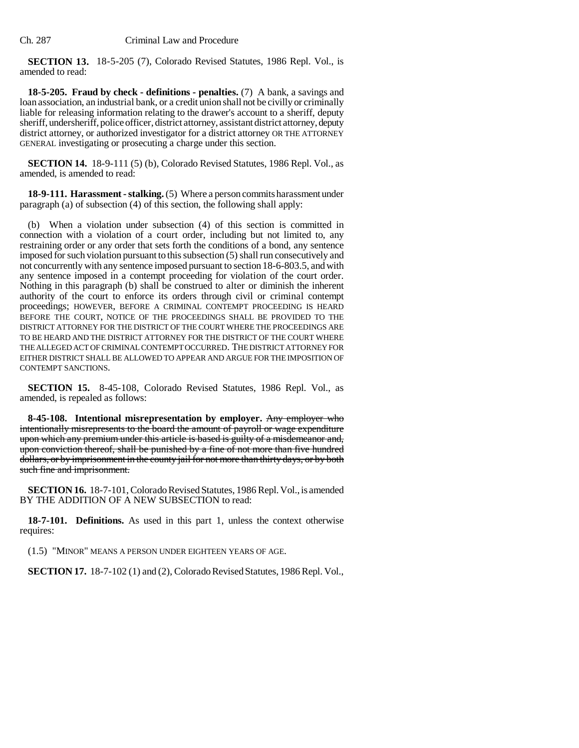**SECTION 13.** 18-5-205 (7), Colorado Revised Statutes, 1986 Repl. Vol., is amended to read:

**18-5-205. Fraud by check - definitions - penalties.** (7) A bank, a savings and loan association, an industrial bank, or a credit union shall not be civilly or criminally liable for releasing information relating to the drawer's account to a sheriff, deputy sheriff, undersheriff, police officer, district attorney, assistant district attorney, deputy district attorney, or authorized investigator for a district attorney OR THE ATTORNEY GENERAL investigating or prosecuting a charge under this section.

**SECTION 14.** 18-9-111 (5) (b), Colorado Revised Statutes, 1986 Repl. Vol., as amended, is amended to read:

**18-9-111. Harassment - stalking.** (5) Where a person commits harassment under paragraph (a) of subsection (4) of this section, the following shall apply:

(b) When a violation under subsection (4) of this section is committed in connection with a violation of a court order, including but not limited to, any restraining order or any order that sets forth the conditions of a bond, any sentence imposed for such violation pursuant to this subsection (5) shall run consecutively and not concurrently with any sentence imposed pursuant to section 18-6-803.5, and with any sentence imposed in a contempt proceeding for violation of the court order. Nothing in this paragraph (b) shall be construed to alter or diminish the inherent authority of the court to enforce its orders through civil or criminal contempt proceedings; HOWEVER, BEFORE A CRIMINAL CONTEMPT PROCEEDING IS HEARD BEFORE THE COURT, NOTICE OF THE PROCEEDINGS SHALL BE PROVIDED TO THE DISTRICT ATTORNEY FOR THE DISTRICT OF THE COURT WHERE THE PROCEEDINGS ARE TO BE HEARD AND THE DISTRICT ATTORNEY FOR THE DISTRICT OF THE COURT WHERE THE ALLEGED ACT OF CRIMINAL CONTEMPT OCCURRED. THE DISTRICT ATTORNEY FOR EITHER DISTRICT SHALL BE ALLOWED TO APPEAR AND ARGUE FOR THE IMPOSITION OF CONTEMPT SANCTIONS.

**SECTION 15.** 8-45-108, Colorado Revised Statutes, 1986 Repl. Vol., as amended, is repealed as follows:

**8-45-108. Intentional misrepresentation by employer.** Any employer who intentionally misrepresents to the board the amount of payroll or wage expenditure upon which any premium under this article is based is guilty of a misdemeanor and, upon conviction thereof, shall be punished by a fine of not more than five hundred dollars, or by imprisonment in the county jail for not more than thirty days, or by both such fine and imprisonment.

**SECTION 16.** 18-7-101, Colorado Revised Statutes, 1986 Repl. Vol., is amended BY THE ADDITION OF A NEW SUBSECTION to read:

**18-7-101. Definitions.** As used in this part 1, unless the context otherwise requires:

(1.5) "MINOR" MEANS A PERSON UNDER EIGHTEEN YEARS OF AGE.

**SECTION 17.** 18-7-102 (1) and (2), Colorado Revised Statutes, 1986 Repl. Vol.,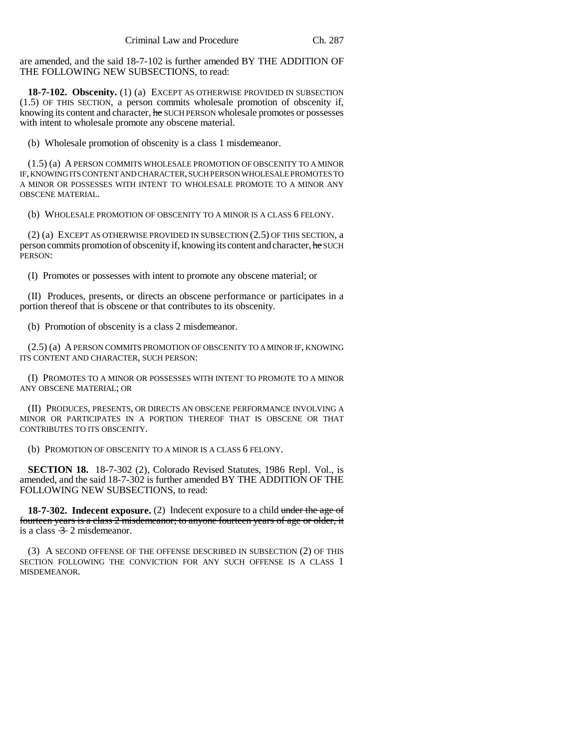are amended, and the said 18-7-102 is further amended BY THE ADDITION OF THE FOLLOWING NEW SUBSECTIONS, to read:

**18-7-102. Obscenity.** (1) (a) EXCEPT AS OTHERWISE PROVIDED IN SUBSECTION (1.5) OF THIS SECTION, a person commits wholesale promotion of obscenity if, knowing its content and character, he SUCH PERSON wholesale promotes or possesses with intent to wholesale promote any obscene material.

(b) Wholesale promotion of obscenity is a class 1 misdemeanor.

(1.5) (a) A PERSON COMMITS WHOLESALE PROMOTION OF OBSCENITY TO A MINOR IF, KNOWING ITS CONTENT AND CHARACTER, SUCH PERSON WHOLESALE PROMOTES TO A MINOR OR POSSESSES WITH INTENT TO WHOLESALE PROMOTE TO A MINOR ANY OBSCENE MATERIAL.

(b) WHOLESALE PROMOTION OF OBSCENITY TO A MINOR IS A CLASS 6 FELONY.

(2) (a) EXCEPT AS OTHERWISE PROVIDED IN SUBSECTION (2.5) OF THIS SECTION, a person commits promotion of obscenity if, knowing its content and character, he SUCH PERSON:

(I) Promotes or possesses with intent to promote any obscene material; or

(II) Produces, presents, or directs an obscene performance or participates in a portion thereof that is obscene or that contributes to its obscenity.

(b) Promotion of obscenity is a class 2 misdemeanor.

(2.5) (a) A PERSON COMMITS PROMOTION OF OBSCENITY TO A MINOR IF, KNOWING ITS CONTENT AND CHARACTER, SUCH PERSON:

(I) PROMOTES TO A MINOR OR POSSESSES WITH INTENT TO PROMOTE TO A MINOR ANY OBSCENE MATERIAL; OR

(II) PRODUCES, PRESENTS, OR DIRECTS AN OBSCENE PERFORMANCE INVOLVING A MINOR OR PARTICIPATES IN A PORTION THEREOF THAT IS OBSCENE OR THAT CONTRIBUTES TO ITS OBSCENITY.

(b) PROMOTION OF OBSCENITY TO A MINOR IS A CLASS 6 FELONY.

**SECTION 18.** 18-7-302 (2), Colorado Revised Statutes, 1986 Repl. Vol., is amended, and the said 18-7-302 is further amended BY THE ADDITION OF THE FOLLOWING NEW SUBSECTIONS, to read:

**18-7-302. Indecent exposure.** (2) Indecent exposure to a child under the age of fourteen years is a class 2 misdemeanor; to anyone fourteen years of age or older, it is a class  $\frac{3}{2}$  2 misdemeanor.

(3) A SECOND OFFENSE OF THE OFFENSE DESCRIBED IN SUBSECTION (2) OF THIS SECTION FOLLOWING THE CONVICTION FOR ANY SUCH OFFENSE IS A CLASS 1 MISDEMEANOR.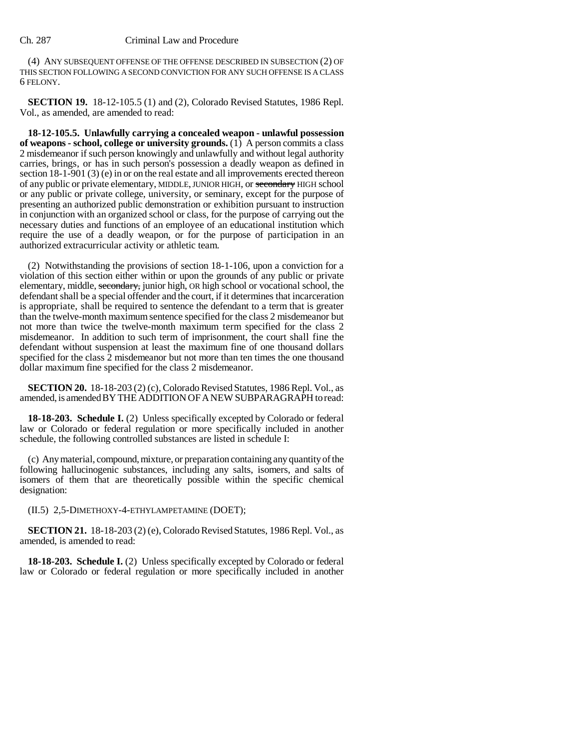#### Ch. 287 Criminal Law and Procedure

(4) ANY SUBSEQUENT OFFENSE OF THE OFFENSE DESCRIBED IN SUBSECTION (2) OF THIS SECTION FOLLOWING A SECOND CONVICTION FOR ANY SUCH OFFENSE IS A CLASS 6 FELONY.

**SECTION 19.** 18-12-105.5 (1) and (2), Colorado Revised Statutes, 1986 Repl. Vol., as amended, are amended to read:

**18-12-105.5. Unlawfully carrying a concealed weapon - unlawful possession of weapons - school, college or university grounds.** (1) A person commits a class 2 misdemeanor if such person knowingly and unlawfully and without legal authority carries, brings, or has in such person's possession a deadly weapon as defined in section 18-1-901 (3) (e) in or on the real estate and all improvements erected thereon of any public or private elementary, MIDDLE, JUNIOR HIGH, or secondary HIGH school or any public or private college, university, or seminary, except for the purpose of presenting an authorized public demonstration or exhibition pursuant to instruction in conjunction with an organized school or class, for the purpose of carrying out the necessary duties and functions of an employee of an educational institution which require the use of a deadly weapon, or for the purpose of participation in an authorized extracurricular activity or athletic team.

(2) Notwithstanding the provisions of section 18-1-106, upon a conviction for a violation of this section either within or upon the grounds of any public or private elementary, middle, secondary, junior high, OR high school or vocational school, the defendant shall be a special offender and the court, if it determines that incarceration is appropriate, shall be required to sentence the defendant to a term that is greater than the twelve-month maximum sentence specified for the class 2 misdemeanor but not more than twice the twelve-month maximum term specified for the class 2 misdemeanor. In addition to such term of imprisonment, the court shall fine the defendant without suspension at least the maximum fine of one thousand dollars specified for the class 2 misdemeanor but not more than ten times the one thousand dollar maximum fine specified for the class 2 misdemeanor.

**SECTION 20.** 18-18-203 (2) (c), Colorado Revised Statutes, 1986 Repl. Vol., as amended, is amended BY THE ADDITION OF A NEW SUBPARAGRAPH to read:

**18-18-203. Schedule I.** (2) Unless specifically excepted by Colorado or federal law or Colorado or federal regulation or more specifically included in another schedule, the following controlled substances are listed in schedule I:

(c) Any material, compound, mixture, or preparation containing any quantity of the following hallucinogenic substances, including any salts, isomers, and salts of isomers of them that are theoretically possible within the specific chemical designation:

(II.5) 2,5-DIMETHOXY-4-ETHYLAMPETAMINE (DOET);

**SECTION 21.** 18-18-203 (2) (e), Colorado Revised Statutes, 1986 Repl. Vol., as amended, is amended to read:

**18-18-203. Schedule I.** (2) Unless specifically excepted by Colorado or federal law or Colorado or federal regulation or more specifically included in another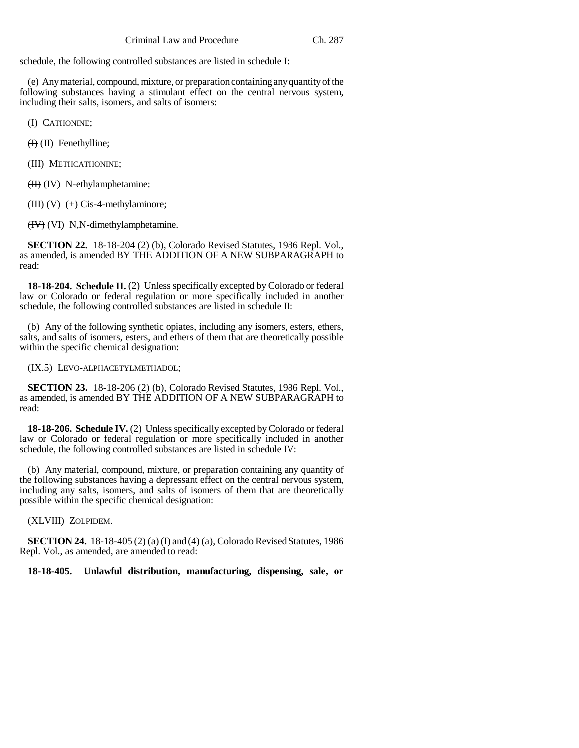schedule, the following controlled substances are listed in schedule I:

(e) Any material, compound, mixture, or preparation containing any quantity of the following substances having a stimulant effect on the central nervous system, including their salts, isomers, and salts of isomers:

(I) CATHONINE;

(H) (II) Fenethylline;

(III) METHCATHONINE;

(II) (IV) N-ethylamphetamine;

 $(HH)$  (V)  $(+)$  Cis-4-methylaminore;

(IV) (VI) N,N-dimethylamphetamine.

**SECTION 22.** 18-18-204 (2) (b), Colorado Revised Statutes, 1986 Repl. Vol., as amended, is amended BY THE ADDITION OF A NEW SUBPARAGRAPH to read:

**18-18-204. Schedule II.** (2) Unless specifically excepted by Colorado or federal law or Colorado or federal regulation or more specifically included in another schedule, the following controlled substances are listed in schedule II:

(b) Any of the following synthetic opiates, including any isomers, esters, ethers, salts, and salts of isomers, esters, and ethers of them that are theoretically possible within the specific chemical designation:

(IX.5) LEVO-ALPHACETYLMETHADOL;

**SECTION 23.** 18-18-206 (2) (b), Colorado Revised Statutes, 1986 Repl. Vol., as amended, is amended BY THE ADDITION OF A NEW SUBPARAGRAPH to read:

**18-18-206. Schedule IV.** (2) Unless specifically excepted by Colorado or federal law or Colorado or federal regulation or more specifically included in another schedule, the following controlled substances are listed in schedule IV:

(b) Any material, compound, mixture, or preparation containing any quantity of the following substances having a depressant effect on the central nervous system, including any salts, isomers, and salts of isomers of them that are theoretically possible within the specific chemical designation:

(XLVIII) ZOLPIDEM.

**SECTION 24.** 18-18-405 (2) (a) (I) and (4) (a), Colorado Revised Statutes, 1986 Repl. Vol., as amended, are amended to read:

**18-18-405. Unlawful distribution, manufacturing, dispensing, sale, or**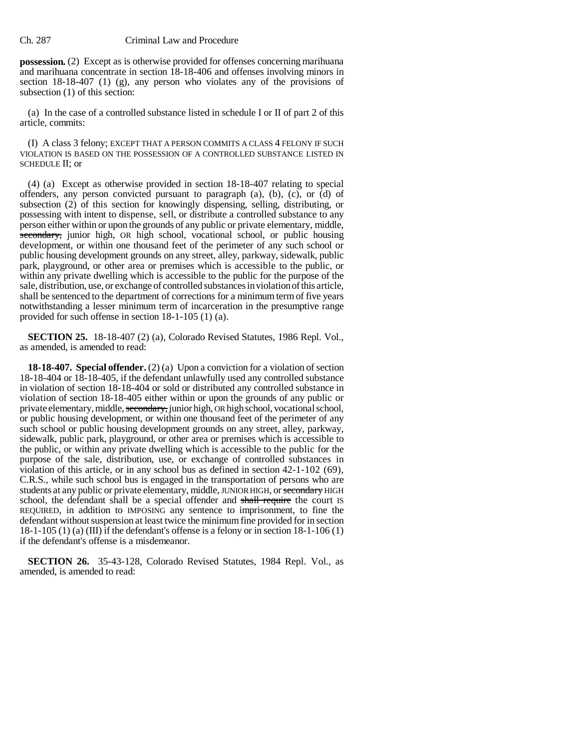#### Ch. 287 Criminal Law and Procedure

**possession.** (2) Except as is otherwise provided for offenses concerning marihuana and marihuana concentrate in section 18-18-406 and offenses involving minors in section 18-18-407 (1) (g), any person who violates any of the provisions of subsection (1) of this section:

(a) In the case of a controlled substance listed in schedule I or II of part 2 of this article, commits:

(I) A class 3 felony; EXCEPT THAT A PERSON COMMITS A CLASS 4 FELONY IF SUCH VIOLATION IS BASED ON THE POSSESSION OF A CONTROLLED SUBSTANCE LISTED IN SCHEDULE II; or

(4) (a) Except as otherwise provided in section 18-18-407 relating to special offenders, any person convicted pursuant to paragraph  $(a)$ ,  $(b)$ ,  $(c)$ , or  $(d)$  of subsection (2) of this section for knowingly dispensing, selling, distributing, or possessing with intent to dispense, sell, or distribute a controlled substance to any person either within or upon the grounds of any public or private elementary, middle, secondary, junior high, OR high school, vocational school, or public housing development, or within one thousand feet of the perimeter of any such school or public housing development grounds on any street, alley, parkway, sidewalk, public park, playground, or other area or premises which is accessible to the public, or within any private dwelling which is accessible to the public for the purpose of the sale, distribution, use, or exchange of controlled substances in violation of this article, shall be sentenced to the department of corrections for a minimum term of five years notwithstanding a lesser minimum term of incarceration in the presumptive range provided for such offense in section 18-1-105 (1) (a).

**SECTION 25.** 18-18-407 (2) (a), Colorado Revised Statutes, 1986 Repl. Vol., as amended, is amended to read:

**18-18-407. Special offender.** (2) (a) Upon a conviction for a violation of section 18-18-404 or 18-18-405, if the defendant unlawfully used any controlled substance in violation of section 18-18-404 or sold or distributed any controlled substance in violation of section 18-18-405 either within or upon the grounds of any public or private elementary, middle, secondary, junior high, OR high school, vocational school, or public housing development, or within one thousand feet of the perimeter of any such school or public housing development grounds on any street, alley, parkway, sidewalk, public park, playground, or other area or premises which is accessible to the public, or within any private dwelling which is accessible to the public for the purpose of the sale, distribution, use, or exchange of controlled substances in violation of this article, or in any school bus as defined in section 42-1-102 (69), C.R.S., while such school bus is engaged in the transportation of persons who are students at any public or private elementary, middle, JUNIOR HIGH, or secondary HIGH school, the defendant shall be a special offender and shall require the court IS REQUIRED, in addition to IMPOSING any sentence to imprisonment, to fine the defendant without suspension at least twice the minimum fine provided for in section  $18-1-105$  (1) (a) (III) if the defendant's offense is a felony or in section  $18-1-106$  (1) if the defendant's offense is a misdemeanor.

**SECTION 26.** 35-43-128, Colorado Revised Statutes, 1984 Repl. Vol., as amended, is amended to read: